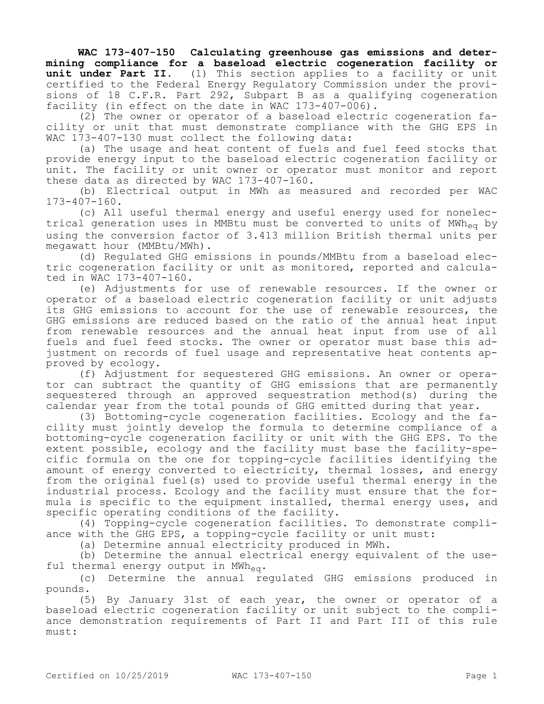**WAC 173-407-150 Calculating greenhouse gas emissions and determining compliance for a baseload electric cogeneration facility or unit under Part II.** (1) This section applies to a facility or unit certified to the Federal Energy Regulatory Commission under the provisions of 18 C.F.R. Part 292, Subpart B as a qualifying cogeneration facility (in effect on the date in WAC 173-407-006).

(2) The owner or operator of a baseload electric cogeneration facility or unit that must demonstrate compliance with the GHG EPS in WAC 173-407-130 must collect the following data:

(a) The usage and heat content of fuels and fuel feed stocks that provide energy input to the baseload electric cogeneration facility or unit. The facility or unit owner or operator must monitor and report these data as directed by WAC 173-407-160.

(b) Electrical output in MWh as measured and recorded per WAC 173-407-160.

(c) All useful thermal energy and useful energy used for nonelectrical generation uses in MMBtu must be converted to units of MWh<sub>eq</sub> by using the conversion factor of 3.413 million British thermal units per megawatt hour (MMBtu/MWh).

(d) Regulated GHG emissions in pounds/MMBtu from a baseload electric cogeneration facility or unit as monitored, reported and calculated in WAC 173-407-160.

(e) Adjustments for use of renewable resources. If the owner or operator of a baseload electric cogeneration facility or unit adjusts its GHG emissions to account for the use of renewable resources, the GHG emissions are reduced based on the ratio of the annual heat input from renewable resources and the annual heat input from use of all fuels and fuel feed stocks. The owner or operator must base this adjustment on records of fuel usage and representative heat contents approved by ecology.

(f) Adjustment for sequestered GHG emissions. An owner or operator can subtract the quantity of GHG emissions that are permanently sequestered through an approved sequestration method(s) during the calendar year from the total pounds of GHG emitted during that year.

(3) Bottoming-cycle cogeneration facilities. Ecology and the facility must jointly develop the formula to determine compliance of a bottoming-cycle cogeneration facility or unit with the GHG EPS. To the extent possible, ecology and the facility must base the facility-specific formula on the one for topping-cycle facilities identifying the amount of energy converted to electricity, thermal losses, and energy from the original fuel(s) used to provide useful thermal energy in the industrial process. Ecology and the facility must ensure that the formula is specific to the equipment installed, thermal energy uses, and specific operating conditions of the facility.

(4) Topping-cycle cogeneration facilities. To demonstrate compliance with the GHG EPS, a topping-cycle facility or unit must:

(a) Determine annual electricity produced in MWh.

(b) Determine the annual electrical energy equivalent of the useful thermal energy output in MWh<sub>eq</sub>.

(c) Determine the annual regulated GHG emissions produced in pounds.

(5) By January 31st of each year, the owner or operator of a baseload electric cogeneration facility or unit subject to the compliance demonstration requirements of Part II and Part III of this rule must: